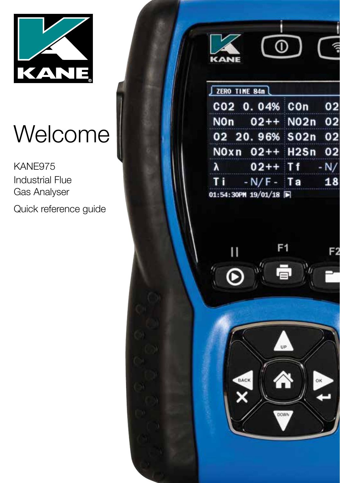

# Welcome

KANE975 Industrial Flue Gas Analyser

Quick reference guide



|                     |             | CO2 0.04% COn 02  |    |
|---------------------|-------------|-------------------|----|
|                     |             | NOn 02++ N02n 02  |    |
|                     |             | 02 20.96% S02n 02 |    |
|                     |             | NOxn 02++ H2Sn 02 |    |
| $\lambda$           |             | $02++$ Tf $-N/$   |    |
| $\mathbf{I}$        | $-N/F - TA$ |                   | 18 |
| 01:54:30PM 19/01/18 |             |                   |    |



**DOWN**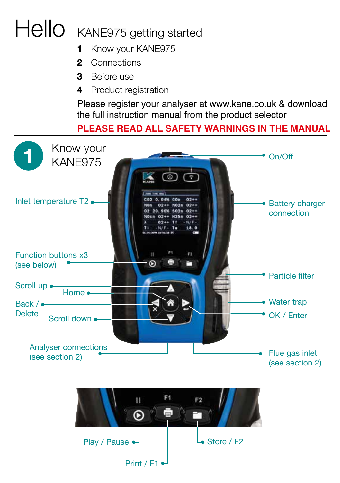## Hello KANE975 getting started

- **1** Know your KANE975
- **2** Connections
- **3** Before use
- **4** Product registration

Please register your analyser at www.kane.co.uk & download the full instruction manual from the product selector

### **PLEASE READ ALL SAFETY WARNINGS IN THE MANUAL**



Print / F1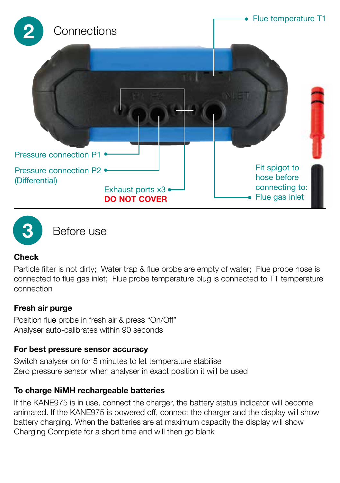



**3** Before use

#### **Check**

Particle filter is not dirty; Water trap & flue probe are empty of water; Flue probe hose is connected to flue gas inlet; Flue probe temperature plug is connected to T1 temperature connection

#### **Fresh air purge**

Position flue probe in fresh air & press "On/Off" Analyser auto-calibrates within 90 seconds

#### **For best pressure sensor accuracy**

Switch analyser on for 5 minutes to let temperature stabilise Zero pressure sensor when analyser in exact position it will be used

#### **To charge NiMH rechargeable batteries**

If the KANE975 is in use, connect the charger, the battery status indicator will become animated. If the KANE975 is powered off, connect the charger and the display will show battery charging. When the batteries are at maximum capacity the display will show Charging Complete for a short time and will then go blank